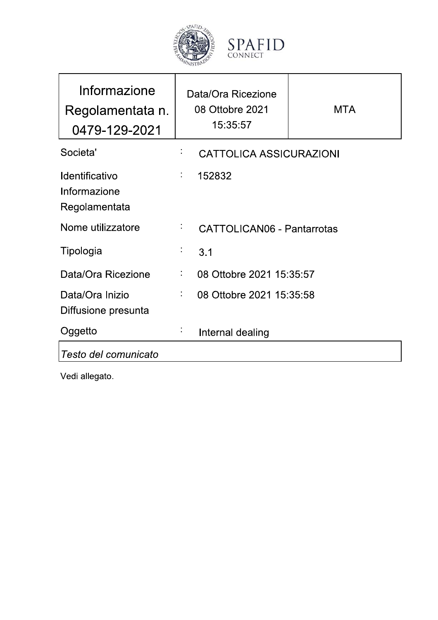



| Informazione<br>Regolamentata n.<br>0479-129-2021      |                              | Data/Ora Ricezione<br>08 Ottobre 2021<br>15:35:57 | <b>MTA</b> |
|--------------------------------------------------------|------------------------------|---------------------------------------------------|------------|
| Societa'                                               |                              | <b>CATTOLICA ASSICURAZIONI</b>                    |            |
| <b>Identificativo</b><br>Informazione<br>Regolamentata | $\mathcal{L}_{\mathrm{max}}$ | 152832                                            |            |
| Nome utilizzatore                                      |                              | <b>CATTOLICAN06 - Pantarrotas</b>                 |            |
| Tipologia                                              | ţ,                           | 3.1                                               |            |
| Data/Ora Ricezione                                     | ÷,                           | 08 Ottobre 2021 15:35:57                          |            |
| Data/Ora Inizio<br>Diffusione presunta                 | t,                           | 08 Ottobre 2021 15:35:58                          |            |
| Oggetto                                                |                              | Internal dealing                                  |            |
| Testo del comunicato                                   |                              |                                                   |            |

Vedi allegato.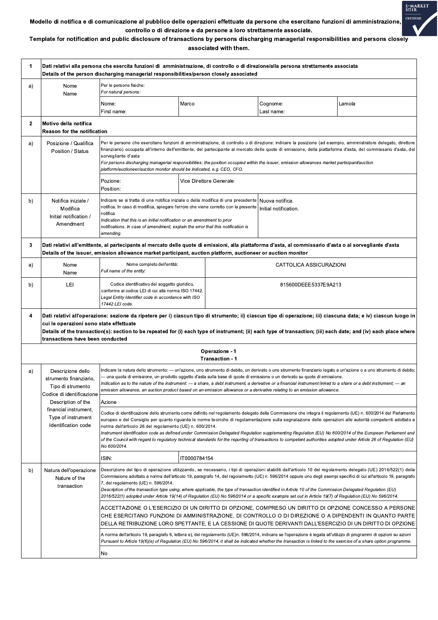

## Template for notification and public disclosure of transactions by persons discharging managerial responsibilities and persons closely associated with them.

| $\mathbf 1$  | Dati relativi alla persona che esercita funzioni di  amministrazione, di controllo o di direzione/alla persona strettamente associata<br>Details of the person discharging managerial responsibilities/person closely associated                                                                                                                                                                                                                                                                                                                                                                                                                                                                 |                                                                                                                                                                                                                                                                                                                                                                                                                                                                                                                                                                                                                                                                                                                                           |              |                                   |                                            |        |  |  |  |
|--------------|--------------------------------------------------------------------------------------------------------------------------------------------------------------------------------------------------------------------------------------------------------------------------------------------------------------------------------------------------------------------------------------------------------------------------------------------------------------------------------------------------------------------------------------------------------------------------------------------------------------------------------------------------------------------------------------------------|-------------------------------------------------------------------------------------------------------------------------------------------------------------------------------------------------------------------------------------------------------------------------------------------------------------------------------------------------------------------------------------------------------------------------------------------------------------------------------------------------------------------------------------------------------------------------------------------------------------------------------------------------------------------------------------------------------------------------------------------|--------------|-----------------------------------|--------------------------------------------|--------|--|--|--|
| a)           | Nome<br>Name                                                                                                                                                                                                                                                                                                                                                                                                                                                                                                                                                                                                                                                                                     | Per le persone fisiche:<br>For natural persons:                                                                                                                                                                                                                                                                                                                                                                                                                                                                                                                                                                                                                                                                                           |              |                                   |                                            |        |  |  |  |
|              |                                                                                                                                                                                                                                                                                                                                                                                                                                                                                                                                                                                                                                                                                                  | Nome:<br>First name:                                                                                                                                                                                                                                                                                                                                                                                                                                                                                                                                                                                                                                                                                                                      | Marco        |                                   | Cognome:<br>Last name:                     | Lamola |  |  |  |
| $\mathbf{2}$ | Motivo della notifica<br><b>Reason for the notification</b>                                                                                                                                                                                                                                                                                                                                                                                                                                                                                                                                                                                                                                      |                                                                                                                                                                                                                                                                                                                                                                                                                                                                                                                                                                                                                                                                                                                                           |              |                                   |                                            |        |  |  |  |
| a)           | Posizione / Qualifica<br>Position / Status                                                                                                                                                                                                                                                                                                                                                                                                                                                                                                                                                                                                                                                       | Per le persone che esercitano funzioni di amministrazione, di controllo o di direzione: indicare la posizione (ad esempio, amministratore delegato, direttore<br>finanziario) occupata all'interno dell'emittente, del partecipante al mercato delle quote di emissione, della piattaforma d'asta, del commissario d'asta, del<br>sorvegliante d'asta<br>For persons discharging managerial responsibilities: the position occupied within the issuer, emission allowances market participant/auction<br>platform/auctioneer/auction monitor should be indicated, e.g. CEO, CFO.                                                                                                                                                          |              |                                   |                                            |        |  |  |  |
|              |                                                                                                                                                                                                                                                                                                                                                                                                                                                                                                                                                                                                                                                                                                  | Pozione:<br>Position:                                                                                                                                                                                                                                                                                                                                                                                                                                                                                                                                                                                                                                                                                                                     |              | Vice Direttore Generale           |                                            |        |  |  |  |
| b)           | Notifica iniziale /<br>Modifica<br>Initial notification /<br>Amendment                                                                                                                                                                                                                                                                                                                                                                                                                                                                                                                                                                                                                           | Indicare se si tratta di una notifica iniziale o della modifica di una precedente<br>notifica. In caso di modifica, spiegare l'errore che viene corretto con la presente<br>notifica<br>Indication that this is an initial notification or an amendment to prior<br>notifications. In case of amendment, explain the error that this notification is<br>amending.                                                                                                                                                                                                                                                                                                                                                                         |              |                                   | l Nuova notifica.<br>Initial notification. |        |  |  |  |
| 3            | Dati relativi all'emittente, al partecipante al mercato delle quote di emissioni, alla piattaforma d'asta, al commissario d'asta o al sorvegliante d'asta<br>Details of the issuer, emission allowance market participant, auction platform, auctioneer or auction monitor                                                                                                                                                                                                                                                                                                                                                                                                                       |                                                                                                                                                                                                                                                                                                                                                                                                                                                                                                                                                                                                                                                                                                                                           |              |                                   |                                            |        |  |  |  |
| a)           | Nome<br>Name                                                                                                                                                                                                                                                                                                                                                                                                                                                                                                                                                                                                                                                                                     | Nome completo dell'entità:<br>Full name of the entity:                                                                                                                                                                                                                                                                                                                                                                                                                                                                                                                                                                                                                                                                                    |              |                                   | CATTOLICA ASSICURAZIONI                    |        |  |  |  |
| b)           | LEI                                                                                                                                                                                                                                                                                                                                                                                                                                                                                                                                                                                                                                                                                              | Codice identificativo del soggetto giuridico,<br>conforme al codice LEI di cui alla norma ISO 17442.<br>Legal Entity Identifier code in accordance with ISO<br>17442 LEI code.                                                                                                                                                                                                                                                                                                                                                                                                                                                                                                                                                            |              | 815600DEEE5337E9A213              |                                            |        |  |  |  |
| 4            | Dati relativi all'operazione: sezione da ripetere per i) ciascun tipo di strumento; ii) ciascun tipo di operazione; iii) ciascuna data; e iv) ciascun luogo in<br>cui le operazioni sono state effettuate<br>Details of the transaction(s): section to be repeated for (i) each type of instrument; (ii) each type of transaction; (iii) each date; and (iv) each place where<br>transactions have been conducted                                                                                                                                                                                                                                                                                |                                                                                                                                                                                                                                                                                                                                                                                                                                                                                                                                                                                                                                                                                                                                           |              |                                   |                                            |        |  |  |  |
|              |                                                                                                                                                                                                                                                                                                                                                                                                                                                                                                                                                                                                                                                                                                  |                                                                                                                                                                                                                                                                                                                                                                                                                                                                                                                                                                                                                                                                                                                                           |              | Operazione - 1<br>Transaction - 1 |                                            |        |  |  |  |
| a)           | Indicare la natura dello strumento: - un'azione, uno strumento di debito, un derivato o uno strumento finanziario legato a un'azione o a uno strumento di debito;<br>Descrizione dello<br>— una quota di emissione, un prodotto oggetto d'asta sulla base di quote di emissione o un derivato su quote di emissione.<br>strumento finanziario.<br>Indication as to the nature of the instrument: — a share, a debt instrument, a derivative or a financial instrument linked to a share or a debt instrument; — an<br>Tipo di strumento<br>emission allowance, an auction product based on an emission allowance or a derivative relating to an emission allowance.<br>Codice di identificazione |                                                                                                                                                                                                                                                                                                                                                                                                                                                                                                                                                                                                                                                                                                                                           |              |                                   |                                            |        |  |  |  |
|              | Description of the                                                                                                                                                                                                                                                                                                                                                                                                                                                                                                                                                                                                                                                                               | Azione                                                                                                                                                                                                                                                                                                                                                                                                                                                                                                                                                                                                                                                                                                                                    |              |                                   |                                            |        |  |  |  |
|              | financial instrument,<br>Type of instrument<br>Identification code                                                                                                                                                                                                                                                                                                                                                                                                                                                                                                                                                                                                                               | Codice di identificazione dello strumento come definito nel regolamento delegato della Commissione che integra il regolamento (UE) n. 600/2014 del Parlamento<br>europeo e del Consiglio per quanto riguarda le norme tecniche di regolamentazione sulla segnalazione delle operazioni alle autorità competenti adottato a<br>norma dell'articolo 26 del regolamento (UE) n. 600/2014.<br>Instrument identification code as defined under Commission Delegated Regulation supplementing Regulation (EU) No 600/2014 of the European Parliament and<br>of the Council with regard to regulatory technical standards for the reporting of transactions to competent authorities adopted under Article 26 of Regulation (EU)<br>No 600/2014. |              |                                   |                                            |        |  |  |  |
|              |                                                                                                                                                                                                                                                                                                                                                                                                                                                                                                                                                                                                                                                                                                  | ISIN:                                                                                                                                                                                                                                                                                                                                                                                                                                                                                                                                                                                                                                                                                                                                     | IT0000784154 |                                   |                                            |        |  |  |  |
| b)           | Natura dell'operazione<br>Nature of the<br>transaction                                                                                                                                                                                                                                                                                                                                                                                                                                                                                                                                                                                                                                           | Descrizione del tipo di operazione utilizzando, se necessario, i tipi di operazioni stabiliti dall'articolo 10 del regolamento delegato (UE) 2016/522(1) della<br>Commissione adottato a norma dell'articolo 19, paragrafo 14, del regolamento (UE) n. 596/2014 oppure uno degli esempi specifici di cui all'articolo 19, paragrafo<br>7, del regolamento (UE) n. 596/2014.<br>Description of the transaction type using, where applicable, the type of transaction identified in Article 10 of the Commission Delegated Regulation (EU)<br>2016/522(1) adopted under Article 19(14) of Regulation (EU) No 596/2014 or a specific example set out in Article 19(7) of Regulation (EU) No 596/2014.                                        |              |                                   |                                            |        |  |  |  |
|              |                                                                                                                                                                                                                                                                                                                                                                                                                                                                                                                                                                                                                                                                                                  | ACCETTAZIONE O L'ESERCIZIO DI UN DIRITTO DI OPZIONE, COMPRESO UN DIRITTO DI OPZIONE CONCESSO A PERSONE<br>CHE ESERCITANO FUNZIONI DI AMMINISTRAZIONE, DI CONTROLLO O DI DIREZIONE O A DIPENDENTI IN QUANTO PARTE<br>DELLA RETRIBUZIONE LORO SPETTANTE, E LA CESSIONE DI QUOTE DERIVANTI DALL'ESERCIZIO DI UN DIRITTO DI OPZIONE                                                                                                                                                                                                                                                                                                                                                                                                           |              |                                   |                                            |        |  |  |  |
|              |                                                                                                                                                                                                                                                                                                                                                                                                                                                                                                                                                                                                                                                                                                  | A norma dell'articolo 19, paragrafo 6, lettera e), del regolamento (UE)n. 596/2014, indicare se l'operazione è legata all'utilizzo di programmi di opzioni su azioni<br>Pursuant to Article 19(6)(e) of Regulation (EU) No 596/2014, it shall be indicated whether the transaction is linked to the exercise of a share option programme.                                                                                                                                                                                                                                                                                                                                                                                                 |              |                                   |                                            |        |  |  |  |
|              |                                                                                                                                                                                                                                                                                                                                                                                                                                                                                                                                                                                                                                                                                                  | No                                                                                                                                                                                                                                                                                                                                                                                                                                                                                                                                                                                                                                                                                                                                        |              |                                   |                                            |        |  |  |  |